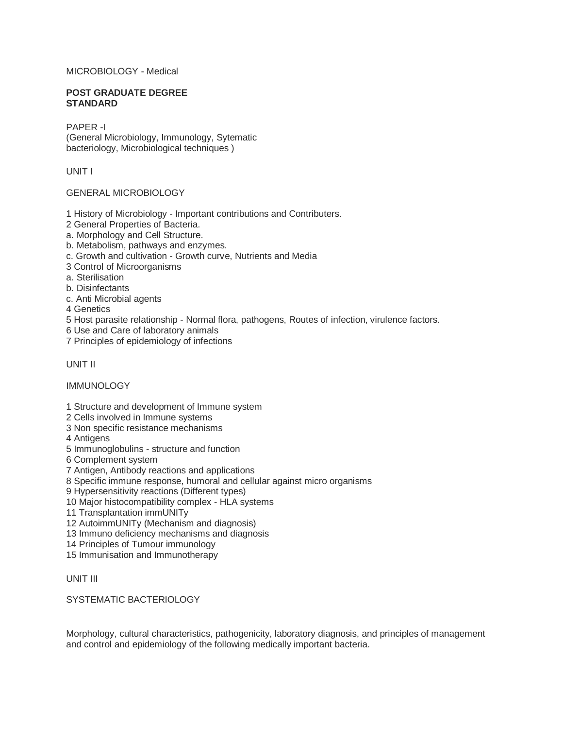# MICROBIOLOGY - Medical

#### **POST GRADUATE DEGREE STANDARD**

PAPER -I (General Microbiology, Immunology, Sytematic bacteriology, Microbiological techniques )

UNIT I

## GENERAL MICROBIOLOGY

1 History of Microbiology - Important contributions and Contributers.

2 General Properties of Bacteria.

a. Morphology and Cell Structure.

b. Metabolism, pathways and enzymes.

c. Growth and cultivation - Growth curve, Nutrients and Media

3 Control of Microorganisms

a. Sterilisation

b. Disinfectants

c. Anti Microbial agents

4 Genetics

5 Host parasite relationship - Normal flora, pathogens, Routes of infection, virulence factors.

6 Use and Care of laboratory animals

7 Principles of epidemiology of infections

UNIT II

IMMUNOLOGY

1 Structure and development of Immune system

2 Cells involved in Immune systems

3 Non specific resistance mechanisms

4 Antigens

5 Immunoglobulins - structure and function

6 Complement system

7 Antigen, Antibody reactions and applications

8 Specific immune response, humoral and cellular against micro organisms

9 Hypersensitivity reactions (Different types)

10 Major histocompatibility complex - HLA systems

11 Transplantation immUNITy

12 AutoimmUNITy (Mechanism and diagnosis)

13 Immuno deficiency mechanisms and diagnosis

14 Principles of Tumour immunology

15 Immunisation and Immunotherapy

UNIT III

SYSTEMATIC BACTERIOLOGY

Morphology, cultural characteristics, pathogenicity, laboratory diagnosis, and principles of management and control and epidemiology of the following medically important bacteria.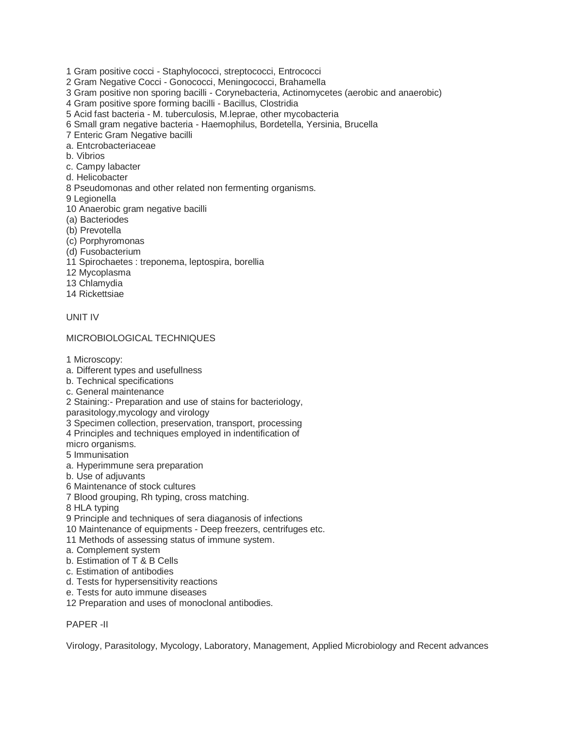- 1 Gram positive cocci Staphylococci, streptococci, Entrococci
- 2 Gram Negative Cocci Gonococci, Meningococci, Brahamella
- 3 Gram positive non sporing bacilli Corynebacteria, Actinomycetes (aerobic and anaerobic)
- 4 Gram positive spore forming bacilli Bacillus, Clostridia
- 5 Acid fast bacteria M. tuberculosis, M.leprae, other mycobacteria
- 6 Small gram negative bacteria Haemophilus, Bordetella, Yersinia, Brucella
- 7 Enteric Gram Negative bacilli
- a. Entcrobacteriaceae
- b. Vibrios
- c. Campy labacter
- d. Helicobacter
- 8 Pseudomonas and other related non fermenting organisms.
- 9 Legionella
- 10 Anaerobic gram negative bacilli
- (a) Bacteriodes
- (b) Prevotella
- (c) Porphyromonas
- (d) Fusobacterium
- 11 Spirochaetes : treponema, leptospira, borellia
- 12 Mycoplasma
- 13 Chlamydia
- 14 Rickettsiae

#### UNIT IV

### MICROBIOLOGICAL TECHNIQUES

1 Microscopy:

- a. Different types and usefullness
- b. Technical specifications
- c. General maintenance
- 2 Staining:- Preparation and use of stains for bacteriology,
- parasitology,mycology and virology
- 3 Specimen collection, preservation, transport, processing
- 4 Principles and techniques employed in indentification of

micro organisms.

- 5 Immunisation
- a. Hyperimmune sera preparation
- b. Use of adjuvants
- 6 Maintenance of stock cultures
- 7 Blood grouping, Rh typing, cross matching.
- 8 HLA typing
- 9 Principle and techniques of sera diaganosis of infections
- 10 Maintenance of equipments Deep freezers, centrifuges etc.
- 11 Methods of assessing status of immune system.
- a. Complement system
- b. Estimation of T & B Cells
- c. Estimation of antibodies
- d. Tests for hypersensitivity reactions
- e. Tests for auto immune diseases
- 12 Preparation and uses of monoclonal antibodies.

## PAPER -II

Virology, Parasitology, Mycology, Laboratory, Management, Applied Microbiology and Recent advances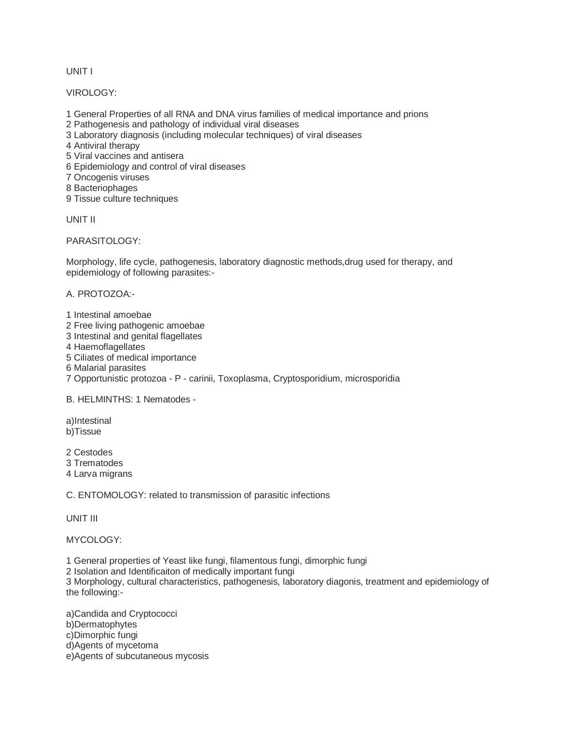UNIT I

VIROLOGY:

- 1 General Properties of all RNA and DNA virus families of medical importance and prions
- 2 Pathogenesis and pathology of individual viral diseases
- 3 Laboratory diagnosis (including molecular techniques) of viral diseases

4 Antiviral therapy

- 5 Viral vaccines and antisera
- 6 Epidemiology and control of viral diseases
- 7 Oncogenis viruses
- 8 Bacteriophages
- 9 Tissue culture techniques

UNIT II

PARASITOLOGY:

Morphology, life cycle, pathogenesis, laboratory diagnostic methods,drug used for therapy, and epidemiology of following parasites:-

A. PROTOZOA:-

1 Intestinal amoebae 2 Free living pathogenic amoebae 3 Intestinal and genital flagellates 4 Haemoflagellates 5 Ciliates of medical importance 6 Malarial parasites 7 Opportunistic protozoa - P - carinii, Toxoplasma, Cryptosporidium, microsporidia

B. HELMINTHS: 1 Nematodes -

a)Intestinal b)Tissue

2 Cestodes 3 Trematodes 4 Larva migrans

C. ENTOMOLOGY: related to transmission of parasitic infections

UNIT III

MYCOLOGY:

1 General properties of Yeast like fungi, filamentous fungi, dimorphic fungi

2 Isolation and Identificaiton of medically important fungi

3 Morphology, cultural characteristics, pathogenesis, laboratory diagonis, treatment and epidemiology of the following:-

a)Candida and Cryptococci b)Dermatophytes c)Dimorphic fungi d)Agents of mycetoma e)Agents of subcutaneous mycosis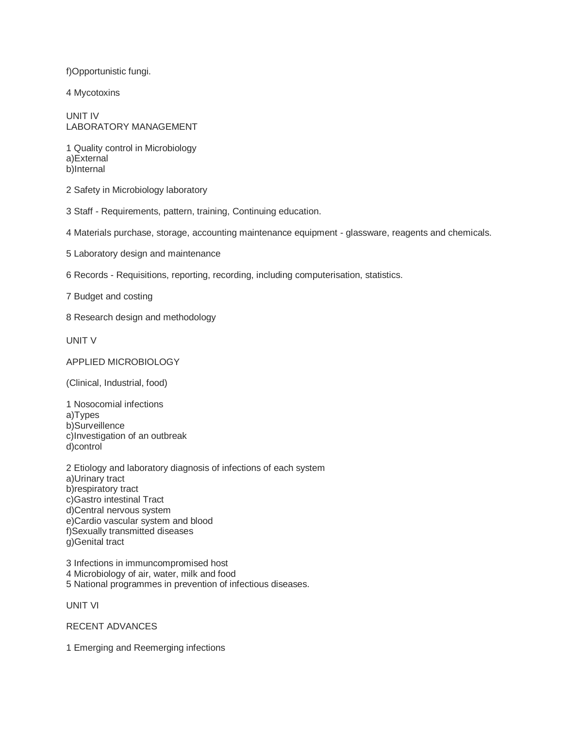f)Opportunistic fungi.

4 Mycotoxins

UNIT IV LABORATORY MANAGEMENT

1 Quality control in Microbiology a)External b)Internal

2 Safety in Microbiology laboratory

3 Staff - Requirements, pattern, training, Continuing education.

4 Materials purchase, storage, accounting maintenance equipment - glassware, reagents and chemicals.

5 Laboratory design and maintenance

6 Records - Requisitions, reporting, recording, including computerisation, statistics.

7 Budget and costing

8 Research design and methodology

UNIT V

APPLIED MICROBIOLOGY

(Clinical, Industrial, food)

1 Nosocomial infections a)Types b)Surveillence c)Investigation of an outbreak d)control

2 Etiology and laboratory diagnosis of infections of each system a)Urinary tract b)respiratory tract c)Gastro intestinal Tract d)Central nervous system e)Cardio vascular system and blood f)Sexually transmitted diseases g)Genital tract

3 Infections in immuncompromised host 4 Microbiology of air, water, milk and food 5 National programmes in prevention of infectious diseases.

UNIT VI

RECENT ADVANCES

1 Emerging and Reemerging infections